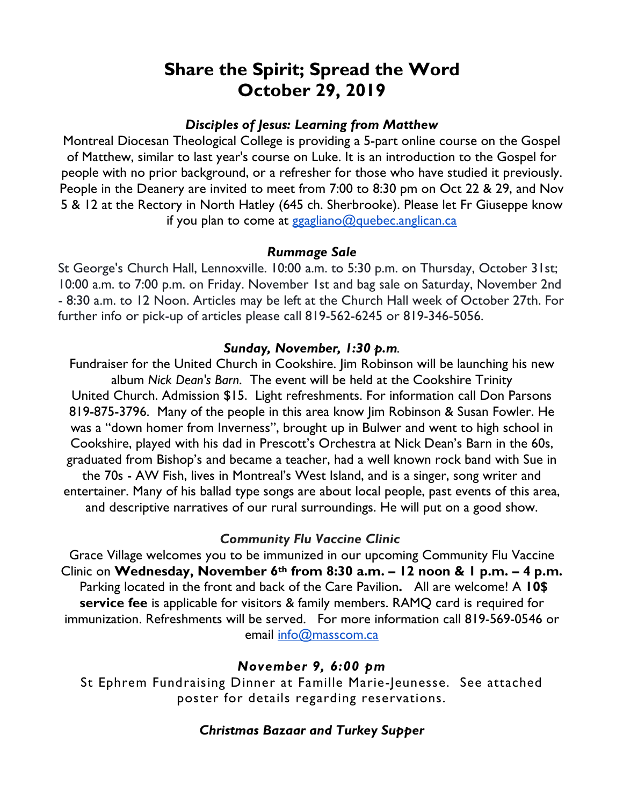# **Share the Spirit; Spread the Word October 29, 2019**

## *Disciples of Jesus: Learning from Matthew*

Montreal Diocesan Theological College is providing a 5-part online course on the Gospel of Matthew, similar to last year's course on Luke. It is an introduction to the Gospel for people with no prior background, or a refresher for those who have studied it previously. People in the Deanery are invited to meet from 7:00 to 8:30 pm on Oct 22 & 29, and Nov 5 & 12 at the Rectory in North Hatley (645 ch. Sherbrooke). Please let Fr Giuseppe know if you plan to come at ggagliano@quebec.anglican.ca

#### *Rummage Sale*

St George's Church Hall, Lennoxville. 10:00 a.m. to 5:30 p.m. on Thursday, October 31st; 10:00 a.m. to 7:00 p.m. on Friday. November 1st and bag sale on Saturday, November 2nd - 8:30 a.m. to 12 Noon. Articles may be left at the Church Hall week of October 27th. For further info or pick-up of articles please call 819-562-6245 or 819-346-5056.

#### *Sunday, November, 1:30 p.m.*

Fundraiser for the United Church in Cookshire. Jim Robinson will be launching his new album *Nick Dean's Barn*. The event will be held at the Cookshire Trinity United Church. Admission \$15. Light refreshments. For information call Don Parsons 819-875-3796. Many of the people in this area know Jim Robinson & Susan Fowler. He was a "down homer from Inverness", brought up in Bulwer and went to high school in Cookshire, played with his dad in Prescott's Orchestra at Nick Dean's Barn in the 60s, graduated from Bishop's and became a teacher, had a well known rock band with Sue in the 70s - AW Fish, lives in Montreal's West Island, and is a singer, song writer and entertainer. Many of his ballad type songs are about local people, past events of this area, and descriptive narratives of our rural surroundings. He will put on a good show.

## *Community Flu Vaccine Clinic*

Grace Village welcomes you to be immunized in our upcoming Community Flu Vaccine Clinic on **Wednesday, November 6th from 8:30 a.m. – 12 noon & 1 p.m. – 4 p.m.**  Parking located in the front and back of the Care Pavilion**.** All are welcome! A **10\$ service fee** is applicable for visitors & family members. RAMQ card is required for immunization. Refreshments will be served. For more information call 819-569-0546 or email info@masscom.ca

## *November 9, 6:00 pm*

St Ephrem Fundraising Dinner at Famille Marie-Jeunesse. See attached poster for details regarding reservations.

## *Christmas Bazaar and Turkey Supper*